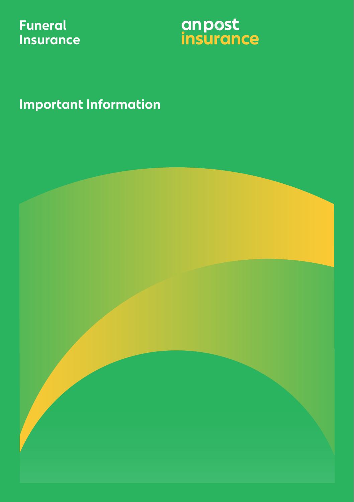## **Funeral Insurance**



**Important Information**

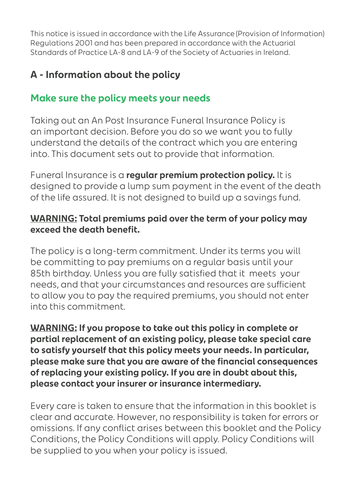This notice is issued in accordance with the Life Assurance (Provision of Information) Regulations 2001 and has been prepared in accordance with the Actuarial Standards of Practice LA-8 and LA-9 of the Society of Actuaries in Ireland.

## **A - Information about the policy**

### **Make sure the policy meets your needs**

Taking out an An Post Insurance Funeral Insurance Policy is an important decision. Before you do so we want you to fully understand the details of the contract which you are entering into. This document sets out to provide that information.

Funeral Insurance is a **regular premium protection policy.** It is designed to provide a lump sum payment in the event of the death of the life assured. It is not designed to build up a savings fund.

#### **WARNING: Total premiums paid over the term of your policy may exceed the death benefit.**

The policy is a long-term commitment. Under its terms you will be committing to pay premiums on a regular basis until your 85th birthday. Unless you are fully satisfied that it meets your needs, and that your circumstances and resources are sufficient to allow you to pay the required premiums, you should not enter into this commitment.

**WARNING: If you propose to take out this policy in complete or partial replacement of an existing policy, please take special care to satisfy yourself that this policy meets your needs. In particular, please make sure that you are aware of the financial consequences of replacing your existing policy. If you are in doubt about this, please contact your insurer or insurance intermediary.**

Every care is taken to ensure that the information in this booklet is clear and accurate. However, no responsibility is taken for errors or omissions. If any conflict arises between this booklet and the Policy Conditions, the Policy Conditions will apply. Policy Conditions will be supplied to you when your policy is issued.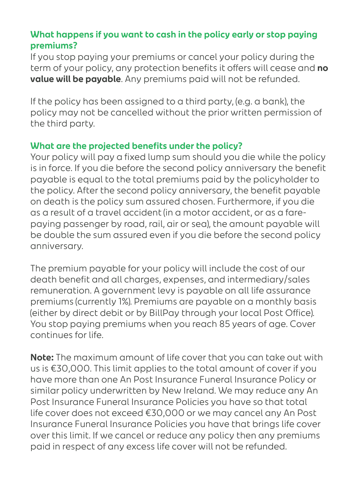#### **What happens if you want to cash in the policy early or stop paying premiums?**

If you stop paying your premiums or cancel your policy during the term of your policy, any protection benefits it offers will cease and **no value will be payable**. Any premiums paid will not be refunded.

If the policy has been assigned to a third party, (e.g. a bank), the policy may not be cancelled without the prior written permission of the third party.

#### **What are the projected benefits under the policy?**

Your policy will pay a fixed lump sum should you die while the policy is in force. If you die before the second policy anniversary the benefit payable is equal to the total premiums paid by the policyholder to the policy. After the second policy anniversary, the benefit payable on death is the policy sum assured chosen. Furthermore, if you die as a result of a travel accident (in a motor accident, or as a farepaying passenger by road, rail, air or sea), the amount payable will be double the sum assured even if you die before the second policy anniversary.

The premium payable for your policy will include the cost of our death benefit and all charges, expenses, and intermediary/sales remuneration. A government levy is payable on all life assurance premiums (currently 1%). Premiums are payable on a monthly basis (either by direct debit or by BillPay through your local Post Office). You stop paying premiums when you reach 85 years of age. Cover continues for life.

**Note:** The maximum amount of life cover that you can take out with us is €30,000. This limit applies to the total amount of cover if you have more than one An Post Insurance Funeral Insurance Policy or similar policy underwritten by New Ireland. We may reduce any An Post Insurance Funeral Insurance Policies you have so that total life cover does not exceed €30,000 or we may cancel any An Post Insurance Funeral Insurance Policies you have that brings life cover over this limit. If we cancel or reduce any policy then any premiums paid in respect of any excess life cover will not be refunded.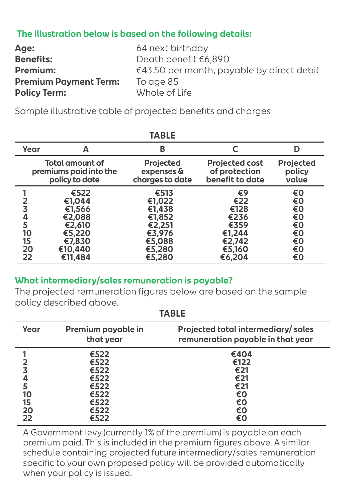#### **The illustration below is based on the following details:**

| <b>Age:</b>                  | 64 next birthday                                    |
|------------------------------|-----------------------------------------------------|
| <b>Benefits:</b>             | Death benefit €6,890                                |
| Premium:                     | $\epsilon$ 43.50 per month, payable by direct debit |
| <b>Premium Payment Term:</b> | To age 85                                           |
| <b>Policy Term:</b>          | Whole of Life                                       |

Sample illustrative table of projected benefits and charges

| IADLE                               |                                                                                        |                                                                                      |                                                                           |                                                    |
|-------------------------------------|----------------------------------------------------------------------------------------|--------------------------------------------------------------------------------------|---------------------------------------------------------------------------|----------------------------------------------------|
| Year                                | А                                                                                      | В                                                                                    |                                                                           | D                                                  |
|                                     | Total amount of<br>premiums paid into the<br>policy to date                            | <b>Projected</b><br>expenses &<br>charges to date                                    | <b>Projected cost</b><br>of protection<br>benefit to date                 | <b>Projected</b><br>policy<br>value                |
| 3<br>4<br>5<br>10<br>15<br>20<br>22 | €522<br>€1,044<br>€1,566<br>€2,088<br>€2,610<br>€5,220<br>€7,830<br>€10,440<br>€11,484 | €513<br>€1,022<br>€1,438<br>€1,852<br>€2,251<br>€3,976<br>€5,088<br>€5,280<br>€5,280 | €9<br>€22<br>€128<br>€236<br>€359<br>€1,244<br>€2,742<br>€5,160<br>€6,204 | €0<br>€0<br>€0<br>€0<br>€0<br>€0<br>€0<br>€0<br>€0 |

#### **TABLE**

#### **What intermediary/sales remuneration is payable?**

The projected remuneration figures below are based on the sample policy described above.

| ▗▃◡▃▃          |                                              |                                                                         |
|----------------|----------------------------------------------|-------------------------------------------------------------------------|
| Year           | Premium payable in<br>that year              | Projected total intermediary/sales<br>remuneration payable in that year |
| 5<br>10        | €522<br>€522<br>€522<br>€522<br>€522<br>€522 | €404<br>€122<br>€21<br>€21<br>€21<br>€0                                 |
| 15<br>20<br>22 | €522<br>€522<br>€522                         | €0<br>€0<br>€0                                                          |

**TABLE**

A Government levy (currently 1% of the premium) is payable on each premium paid. This is included in the premium figures above. A similar schedule containing projected future intermediary/sales remuneration specific to your own proposed policy will be provided automatically when your policy is issued.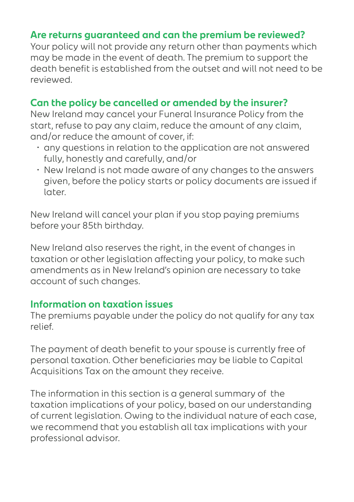#### **Are returns guaranteed and can the premium be reviewed?**

Your policy will not provide any return other than payments which may be made in the event of death. The premium to support the death benefit is established from the outset and will not need to be reviewed.

#### **Can the policy be cancelled or amended by the insurer?**

New Ireland may cancel your Funeral Insurance Policy from the start, refuse to pay any claim, reduce the amount of any claim, and/or reduce the amount of cover, if:

- any questions in relation to the application are not answered fully, honestly and carefully, and/or
- New Ireland is not made aware of any changes to the answers given, before the policy starts or policy documents are issued if later.

New Ireland will cancel your plan if you stop paying premiums before your 85th birthday.

New Ireland also reserves the right, in the event of changes in taxation or other legislation affecting your policy, to make such amendments as in New Ireland's opinion are necessary to take account of such changes.

#### **Information on taxation issues**

The premiums payable under the policy do not qualify for any tax relief.

The payment of death benefit to your spouse is currently free of personal taxation. Other beneficiaries may be liable to Capital Acquisitions Tax on the amount they receive.

The information in this section is a general summary of the taxation implications of your policy, based on our understanding of current legislation. Owing to the individual nature of each case, we recommend that you establish all tax implications with your professional advisor.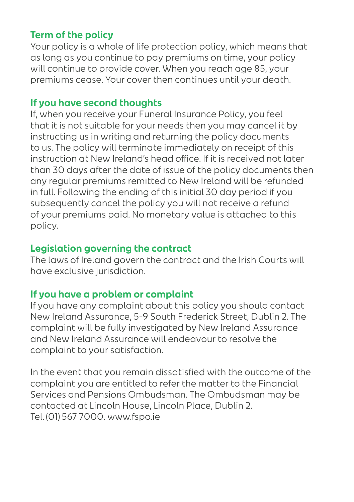#### **Term of the policy**

Your policy is a whole of life protection policy, which means that as long as you continue to pay premiums on time, your policy will continue to provide cover. When you reach age 85, your premiums cease. Your cover then continues until your death.

#### **If you have second thoughts**

If, when you receive your Funeral Insurance Policy, you feel that it is not suitable for your needs then you may cancel it by instructing us in writing and returning the policy documents to us. The policy will terminate immediately on receipt of this instruction at New Ireland's head office. If it is received not later than 30 days after the date of issue of the policy documents then any regular premiums remitted to New Ireland will be refunded in full. Following the ending of this initial 30 day period if you subsequently cancel the policy you will not receive a refund of your premiums paid. No monetary value is attached to this policy.

#### **Legislation governing the contract**

The laws of Ireland govern the contract and the Irish Courts will have exclusive jurisdiction.

#### **If you have a problem or complaint**

If you have any complaint about this policy you should contact New Ireland Assurance, 5-9 South Frederick Street, Dublin 2. The complaint will be fully investigated by New Ireland Assurance and New Ireland Assurance will endeavour to resolve the complaint to your satisfaction.

In the event that you remain dissatisfied with the outcome of the complaint you are entitled to refer the matter to the Financial Services and Pensions Ombudsman. The Ombudsman may be contacted at Lincoln House, Lincoln Place, Dublin 2. Tel. (01) 567 7000. www.fspo.ie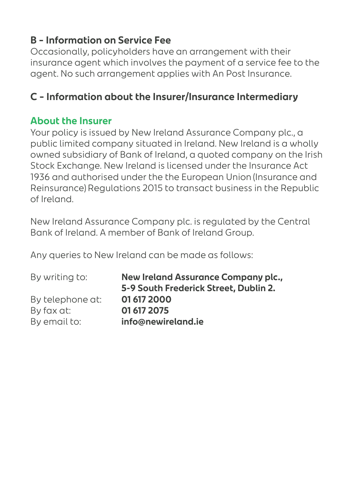## **B – Information on Service Fee**

Occasionally, policyholders have an arrangement with their insurance agent which involves the payment of a service fee to the agent. No such arrangement applies with An Post Insurance.

## **C – Information about the Insurer/Insurance Intermediary**

#### **About the Insurer**

Your policy is issued by New Ireland Assurance Company plc., a public limited company situated in Ireland. New Ireland is a wholly owned subsidiary of Bank of Ireland, a quoted company on the Irish Stock Exchange. New Ireland is licensed under the Insurance Act 1936 and authorised under the the European Union (Insurance and Reinsurance) Regulations 2015 to transact business in the Republic of Ireland.

New Ireland Assurance Company plc. is regulated by the Central Bank of Ireland. A member of Bank of Ireland Group.

Any queries to New Ireland can be made as follows:

| New Ireland Assurance Company plc.,<br>5-9 South Frederick Street, Dublin 2. |
|------------------------------------------------------------------------------|
| 01 617 2000                                                                  |
| 01 617 2075                                                                  |
| info@newireland.ie                                                           |
|                                                                              |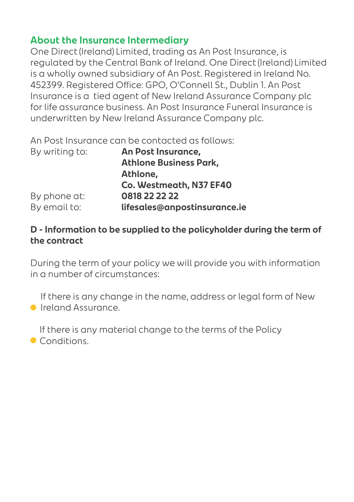#### **About the Insurance Intermediary**

One Direct (Ireland) Limited, trading as An Post Insurance, is regulated by the Central Bank of Ireland. One Direct (Ireland) Limited is a wholly owned subsidiary of An Post. Registered in Ireland No. 452399. Registered Office: GPO, O'Connell St., Dublin 1. An Post Insurance is a tied agent of New Ireland Assurance Company plc for life assurance business. An Post Insurance Funeral Insurance is underwritten by New Ireland Assurance Company plc.

An Post Insurance can be contacted as follows:

| By writing to: | An Post Insurance,            |
|----------------|-------------------------------|
|                | <b>Athlone Business Park,</b> |
|                | Athlone,                      |
|                | Co. Westmeath, N37 EF40       |
| By phone at:   | 0818 22 22 22                 |
| By email to:   | lifesales@anpostinsurance.ie  |

#### **D - Information to be supplied to the policyholder during the term of the contract**

During the term of your policy we will provide you with information in a number of circumstances:

If there is any change in the name, address or legal form of New **Ireland Assurance** 

If there is any material change to the terms of the Policy **Conditions**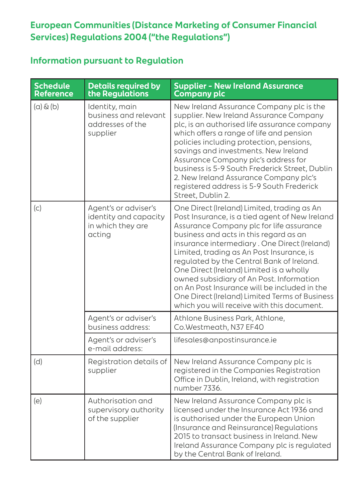#### **European Communities (Distance Marketing of Consumer Financial Services) Regulations 2004 ("the Regulations")**

#### **Information pursuant to Regulation**

| <b>Schedule</b><br><b>Reference</b> | <b>Details required by</b><br>the Regulations                                | <b>Supplier - New Ireland Assurance</b><br><b>Company plc</b>                                                                                                                                                                                                                                                                                                                                                                                                                                                                                                         |
|-------------------------------------|------------------------------------------------------------------------------|-----------------------------------------------------------------------------------------------------------------------------------------------------------------------------------------------------------------------------------------------------------------------------------------------------------------------------------------------------------------------------------------------------------------------------------------------------------------------------------------------------------------------------------------------------------------------|
| $(a)$ & $(b)$                       | Identity, main<br>business and relevant<br>addresses of the<br>supplier      | New Ireland Assurance Company plc is the<br>supplier. New Ireland Assurance Company<br>plc, is an authorised life assurance company<br>which offers a range of life and pension<br>policies including protection, pensions,<br>savings and investments. New Ireland<br>Assurance Company plc's address for<br>business is 5-9 South Frederick Street, Dublin<br>2. New Ireland Assurance Company plc's<br>registered address is 5-9 South Frederick<br>Street, Dublin 2.                                                                                              |
| (c)                                 | Agent's or adviser's<br>identity and capacity<br>in which they are<br>acting | One Direct (Ireland) Limited, trading as An<br>Post Insurance, is a tied agent of New Ireland<br>Assurance Company plc for life assurance<br>business and acts in this regard as an<br>insurance intermediary. One Direct (Ireland)<br>Limited, trading as An Post Insurance, is<br>regulated by the Central Bank of Ireland.<br>One Direct (Ireland) Limited is a wholly<br>owned subsidiary of An Post. Information<br>on An Post Insurance will be included in the<br>One Direct (Ireland) Limited Terms of Business<br>which you will receive with this document. |
|                                     | Agent's or adviser's<br>business address:                                    | Athlone Business Park, Athlone,<br>Co.Westmeath, N37 EF40                                                                                                                                                                                                                                                                                                                                                                                                                                                                                                             |
|                                     | Agent's or adviser's<br>e-mail address:                                      | lifesales@anpostinsurance.ie                                                                                                                                                                                                                                                                                                                                                                                                                                                                                                                                          |
| (d)                                 | Registration details of<br>supplier                                          | New Ireland Assurance Company plc is<br>registered in the Companies Registration<br>Office in Dublin, Ireland, with registration<br>number 7336.                                                                                                                                                                                                                                                                                                                                                                                                                      |
| (e)                                 | Authorisation and<br>supervisory authority<br>of the supplier                | New Ireland Assurance Company plc is<br>licensed under the Insurance Act 1936 and<br>is authorised under the European Union<br>(Insurance and Reinsurance) Regulations<br>2015 to transact business in Ireland. New<br>Ireland Assurance Company plc is regulated<br>by the Central Bank of Ireland.                                                                                                                                                                                                                                                                  |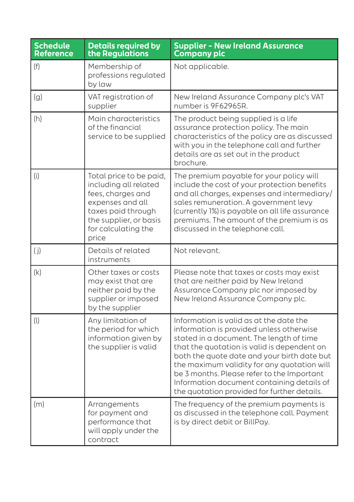| <b>Schedule</b><br><b>Reference</b> | <b>Details required by</b><br>the Regulations                                                                                                                             | <b>Supplier - New Ireland Assurance</b><br><b>Company plc</b>                                                                                                                                                                                                                                                                                                                                                           |
|-------------------------------------|---------------------------------------------------------------------------------------------------------------------------------------------------------------------------|-------------------------------------------------------------------------------------------------------------------------------------------------------------------------------------------------------------------------------------------------------------------------------------------------------------------------------------------------------------------------------------------------------------------------|
| (f)                                 | Membership of<br>professions regulated<br>by law                                                                                                                          | Not applicable.                                                                                                                                                                                                                                                                                                                                                                                                         |
| (g)                                 | VAT registration of<br>supplier                                                                                                                                           | New Ireland Assurance Company plc's VAT<br>number is 9F62965R.                                                                                                                                                                                                                                                                                                                                                          |
| (h)                                 | Main characteristics<br>of the financial<br>service to be supplied                                                                                                        | The product being supplied is a life<br>assurance protection policy. The main<br>characteristics of the policy are as discussed<br>with you in the telephone call and further<br>details are as set out in the product<br>brochure.                                                                                                                                                                                     |
| (i)                                 | Total price to be paid,<br>including all related<br>fees, charges and<br>expenses and all<br>taxes paid through<br>the supplier, or basis<br>for calculating the<br>price | The premium payable for your policy will<br>include the cost of your protection benefits<br>and all charges, expenses and intermediary/<br>sales remuneration. A government levy<br>(currently 1%) is payable on all life assurance<br>premiums. The amount of the premium is as<br>discussed in the telephone call.                                                                                                    |
| (j)                                 | Details of related<br>instruments                                                                                                                                         | Not relevant.                                                                                                                                                                                                                                                                                                                                                                                                           |
| (k)                                 | Other taxes or costs<br>may exist that are<br>neither paid by the<br>supplier or imposed<br>by the supplier                                                               | Please note that taxes or costs may exist<br>that are neither paid by New Ireland<br>Assurance Company plc nor imposed by<br>New Ireland Assurance Company plc.                                                                                                                                                                                                                                                         |
| (1)                                 | Any limitation of<br>the period for which<br>information given by<br>the supplier is valid                                                                                | Information is valid as at the date the<br>information is provided unless otherwise<br>stated in a document. The length of time<br>that the quotation is valid is dependent on<br>both the quote date and your birth date but<br>the maximum validity for any quotation will<br>be 3 months. Please refer to the Important<br>Information document containing details of<br>the quotation provided for further details. |
| (m)                                 | Arrangements<br>for payment and<br>performance that<br>will apply under the<br>contract                                                                                   | The frequency of the premium payments is<br>as discussed in the telephone call. Payment<br>is by direct debit or BillPay.                                                                                                                                                                                                                                                                                               |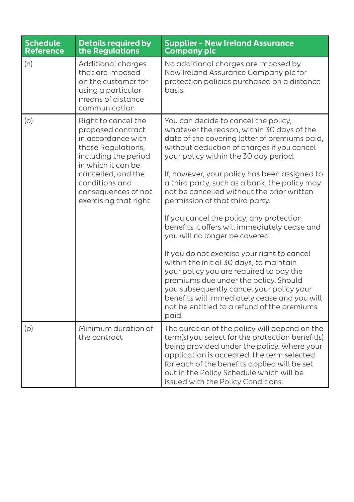| <b>Schedule</b><br><b>Reference</b> | <b>Details required by</b><br>the Regulations                                                                                                                                                                              | <b>Supplier - New Ireland Assurance</b><br>Company plc                                                                                                                                                                                                                                                                                                                                                                                                                                                                                                                                                                                                                                                                                                                                                                                                                         |
|-------------------------------------|----------------------------------------------------------------------------------------------------------------------------------------------------------------------------------------------------------------------------|--------------------------------------------------------------------------------------------------------------------------------------------------------------------------------------------------------------------------------------------------------------------------------------------------------------------------------------------------------------------------------------------------------------------------------------------------------------------------------------------------------------------------------------------------------------------------------------------------------------------------------------------------------------------------------------------------------------------------------------------------------------------------------------------------------------------------------------------------------------------------------|
| (n)                                 | Additional charges<br>that are imposed<br>on the customer for<br>using a particular<br>means of distance<br>communication                                                                                                  | No additional charges are imposed by<br>New Ireland Assurance Company plc for<br>protection policies purchased on a distance<br>basis.                                                                                                                                                                                                                                                                                                                                                                                                                                                                                                                                                                                                                                                                                                                                         |
| (O)                                 | Right to cancel the<br>proposed contract<br>in accordance with<br>these Regulations,<br>including the period<br>in which it can be<br>cancelled, and the<br>conditions and<br>consequences of not<br>exercising that right | You can decide to cancel the policy,<br>whatever the reason, within 30 days of the<br>date of the covering letter of premiums paid,<br>without deduction of charges if you cancel<br>your policy within the 30 day period.<br>If, however, your policy has been assigned to<br>a third party, such as a bank, the policy may<br>not be cancelled without the prior written<br>permission of that third party.<br>If you cancel the policy, any protection<br>benefits it offers will immediately cease and<br>you will no longer be covered.<br>If you do not exercise your right to cancel<br>within the initial 30 days, to maintain<br>your policy you are required to pay the<br>premiums due under the policy. Should<br>you subsequently cancel your policy your<br>benefits will immediately cease and you will<br>not be entitled to a refund of the premiums<br>paid. |
| (p)                                 | Minimum duration of<br>the contract                                                                                                                                                                                        | The duration of the policy will depend on the<br>term(s) you select for the protection benefit(s)<br>being provided under the policy. Where your<br>application is accepted, the term selected<br>for each of the benefits applied will be set<br>out in the Policy Schedule which will be<br>issued with the Policy Conditions.                                                                                                                                                                                                                                                                                                                                                                                                                                                                                                                                               |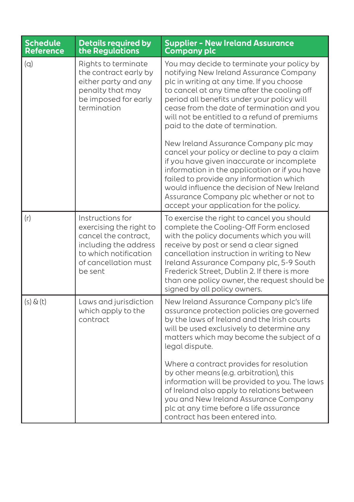| <b>Schedule</b><br><b>Reference</b> | <b>Details required by</b><br>the Regulations                                                                                                            | <b>Supplier - New Ireland Assurance</b><br><b>Company plc</b>                                                                                                                                                                                                                                                                                                                                              |
|-------------------------------------|----------------------------------------------------------------------------------------------------------------------------------------------------------|------------------------------------------------------------------------------------------------------------------------------------------------------------------------------------------------------------------------------------------------------------------------------------------------------------------------------------------------------------------------------------------------------------|
| (q)                                 | Rights to terminate<br>the contract early by<br>either party and any<br>penalty that may<br>be imposed for early<br>termination                          | You may decide to terminate your policy by<br>notifying New Ireland Assurance Company<br>plc in writing at any time. If you choose<br>to cancel at any time after the cooling off<br>period all benefits under your policy will<br>cease from the date of termination and you<br>will not be entitled to a refund of premiums<br>paid to the date of termination.<br>New Ireland Assurance Company plc may |
|                                     |                                                                                                                                                          | cancel your policy or decline to pay a claim<br>if you have given inaccurate or incomplete<br>information in the application or if you have<br>failed to provide any information which<br>would influence the decision of New Ireland<br>Assurance Company plc whether or not to<br>accept your application for the policy.                                                                                |
| (r)                                 | Instructions for<br>exercising the right to<br>cancel the contract,<br>including the address<br>to which notification<br>of cancellation must<br>be sent | To exercise the right to cancel you should<br>complete the Cooling-Off Form enclosed<br>with the policy documents which you will<br>receive by post or send a clear signed<br>cancellation instruction in writing to New<br>Ireland Assurance Company plc, 5-9 South<br>Frederick Street, Dublin 2. If there is more<br>than one policy owner, the request should be<br>signed by all policy owners.       |
| $(s)$ & $(t)$                       | Laws and jurisdiction<br>which apply to the<br>contract                                                                                                  | New Ireland Assurance Company plc's life<br>assurance protection policies are governed<br>by the laws of Ireland and the Irish courts<br>will be used exclusively to determine any<br>matters which may become the subject of a<br>legal dispute.                                                                                                                                                          |
|                                     |                                                                                                                                                          | Where a contract provides for resolution<br>by other means (e.g. arbitration), this<br>information will be provided to you. The laws<br>of Ireland also apply to relations between<br>you and New Ireland Assurance Company<br>plc at any time before a life assurance<br>contract has been entered into.                                                                                                  |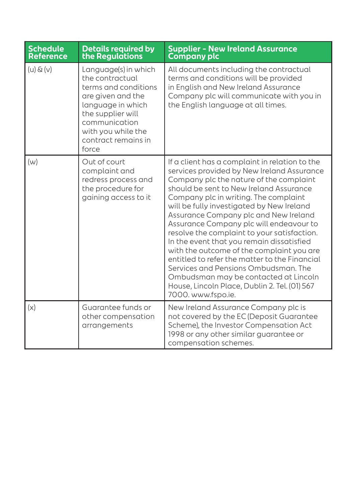| <b>Schedule</b><br><b>Reference</b> | <b>Details required by</b><br>the Regulations                                                                                                                                                         | <b>Supplier - New Ireland Assurance</b><br><b>Company plc</b>                                                                                                                                                                                                                                                                                                                                                                                                                                                                                                                                                                                                                                                  |
|-------------------------------------|-------------------------------------------------------------------------------------------------------------------------------------------------------------------------------------------------------|----------------------------------------------------------------------------------------------------------------------------------------------------------------------------------------------------------------------------------------------------------------------------------------------------------------------------------------------------------------------------------------------------------------------------------------------------------------------------------------------------------------------------------------------------------------------------------------------------------------------------------------------------------------------------------------------------------------|
| $(u) \& (v)$                        | Language(s) in which<br>the contractual<br>terms and conditions<br>are given and the<br>language in which<br>the supplier will<br>communication<br>with you while the<br>contract remains in<br>force | All documents including the contractual<br>terms and conditions will be provided<br>in English and New Ireland Assurance<br>Company plc will communicate with you in<br>the English language at all times.                                                                                                                                                                                                                                                                                                                                                                                                                                                                                                     |
| (w)                                 | Out of court<br>complaint and<br>redress process and<br>the procedure for<br>gaining access to it                                                                                                     | If a client has a complaint in relation to the<br>services provided by New Ireland Assurance<br>Company plc the nature of the complaint<br>should be sent to New Ireland Assurance<br>Company plc in writing. The complaint<br>will be fully investigated by New Ireland<br>Assurance Company plc and New Ireland<br>Assurance Company plc will endeavour to<br>resolve the complaint to your satisfaction.<br>In the event that you remain dissatisfied<br>with the outcome of the complaint you are<br>entitled to refer the matter to the Financial<br>Services and Pensions Ombudsman. The<br>Ombudsman may be contacted at Lincoln<br>House, Lincoln Place, Dublin 2. Tel. (01) 567<br>7000. www.fspo.ie. |
| (x)                                 | Guarantee funds or<br>other compensation<br>arrangements                                                                                                                                              | New Ireland Assurance Company plc is<br>not covered by the EC (Deposit Guarantee<br>Scheme), the Investor Compensation Act<br>1998 or any other similar guarantee or<br>compensation schemes.                                                                                                                                                                                                                                                                                                                                                                                                                                                                                                                  |